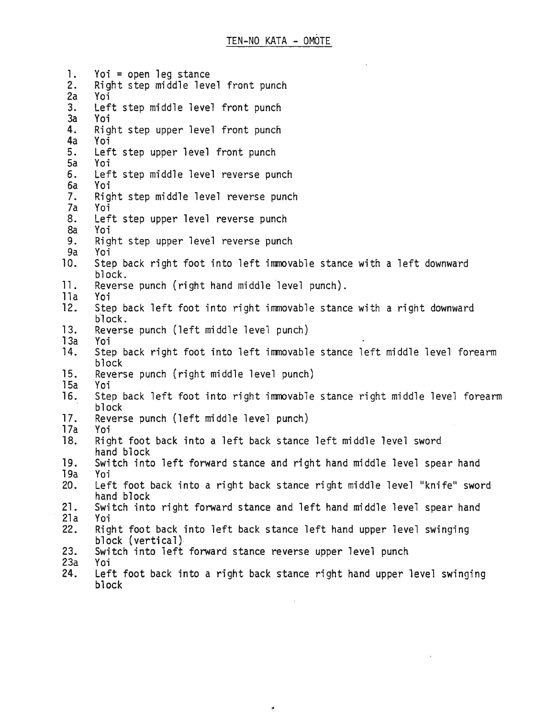1. Yoi = open leg stance<br>2. Right step middle leve 2. Right step middle level front punch<br>2a Yoi Yoi 3. Left step middle level front punch<br>3a Yoi Yoi 4. Right step upper level front punch<br>4a Yoi 4a Yoi 5. Left step upper level front punch 5a Yoi 6. Left step middle level reverse punch 6a Yoi 7. Right step middle level reverse punch 7a Yoi 8. Left step upper level reverse punch<br>8a Yoi 8a Yoi<br>9. Rigl Right step upper level reverse punch 9a Yoi 10. Step back right foot into left immovable stance with a left downward block. 11. Reverse punch (right hand middle level punch). lla Yoi Step back left foot into right immovable stance with a right downward h1ock. 13. Reverse punch (left middle level punch) 13a Yoi 14. Step back right foot into left immovable stance left middle level forearm block 15. Reverse punch (right middle level punch) 15a 16. Step back left foot into right immovable stance right middle level forearm block 17. Reverse punch (left middle level punch) 17a Yoi Right foot back into a left back stance left middle level sword hand block 19. Switch into left forward stance and right hand middle level spear hand 19a Yoi 20. Left foot back into a right back stance right middle level "knife" sword hand block 21. Switch into right forward stance and left hand middle level spear hand  $21a$ <br> $22.$ Right foot back into left back stance left hand upper level swinging block (vertical) 23. Switch into left forward stance reverse upper level punch 23a Yoi

Left foot back into a right back stance right hand upper level swinging block

ä,